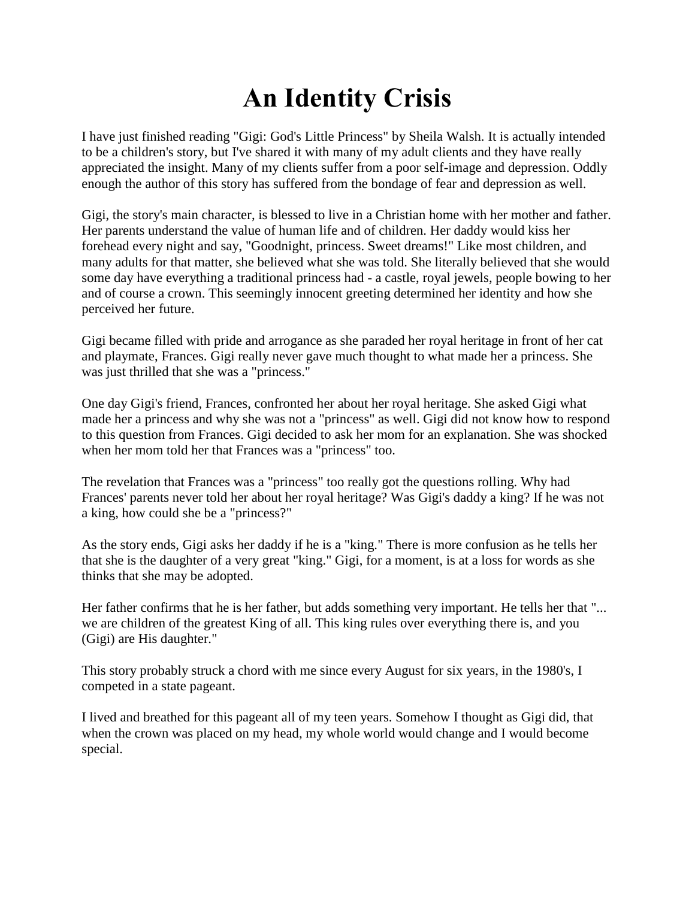## **An Identity Crisis**

I have just finished reading "Gigi: God's Little Princess" by Sheila Walsh. It is actually intended to be a children's story, but I've shared it with many of my adult clients and they have really appreciated the insight. Many of my clients suffer from a poor self-image and depression. Oddly enough the author of this story has suffered from the bondage of fear and depression as well.

Gigi, the story's main character, is blessed to live in a Christian home with her mother and father. Her parents understand the value of human life and of children. Her daddy would kiss her forehead every night and say, "Goodnight, princess. Sweet dreams!" Like most children, and many adults for that matter, she believed what she was told. She literally believed that she would some day have everything a traditional princess had - a castle, royal jewels, people bowing to her and of course a crown. This seemingly innocent greeting determined her identity and how she perceived her future.

Gigi became filled with pride and arrogance as she paraded her royal heritage in front of her cat and playmate, Frances. Gigi really never gave much thought to what made her a princess. She was just thrilled that she was a "princess."

One day Gigi's friend, Frances, confronted her about her royal heritage. She asked Gigi what made her a princess and why she was not a "princess" as well. Gigi did not know how to respond to this question from Frances. Gigi decided to ask her mom for an explanation. She was shocked when her mom told her that Frances was a "princess" too.

The revelation that Frances was a "princess" too really got the questions rolling. Why had Frances' parents never told her about her royal heritage? Was Gigi's daddy a king? If he was not a king, how could she be a "princess?"

As the story ends, Gigi asks her daddy if he is a "king." There is more confusion as he tells her that she is the daughter of a very great "king." Gigi, for a moment, is at a loss for words as she thinks that she may be adopted.

Her father confirms that he is her father, but adds something very important. He tells her that "... we are children of the greatest King of all. This king rules over everything there is, and you (Gigi) are His daughter."

This story probably struck a chord with me since every August for six years, in the 1980's, I competed in a state pageant.

I lived and breathed for this pageant all of my teen years. Somehow I thought as Gigi did, that when the crown was placed on my head, my whole world would change and I would become special.